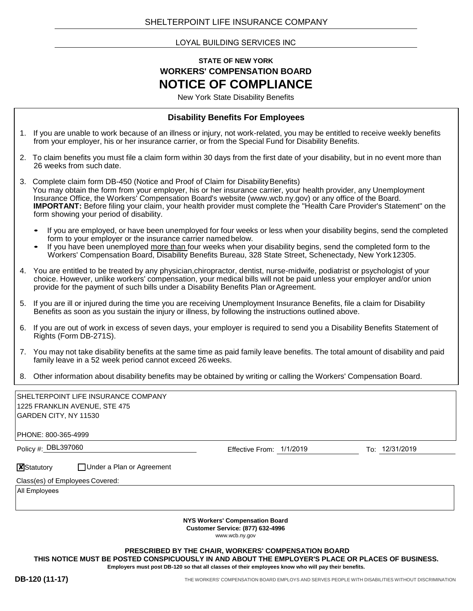LOYAL BUILDING SERVICES INC

#### **STATE OF NEW YORK WORKERS' COMPENSATION BOARD NOTICE OF COMPLIANCE**

New York State Disability Benefits

#### **Disability Benefits For Employees**

- 1. If you are unable to work because of an illness or injury, not work-related, you may be entitled to receive weekly benefits from your employer, his or her insurance carrier, or from the Special Fund for Disability Benefits.
- 2. To claim benefits you must file a claim form within 30 days from the first date of your disability, but in no event more than 26 weeks from such date.
- 3. Complete claim form DB-450 (Notice and Proof of Claim for Disability Benefits) You may obtain the form from your employer, his or her insurance carrier, your health provider, any Unemployment Insurance Office, the Workers' Compensation Board's website (www.wcb.ny.gov) or any office of the Board. **IMPORTANT:** Before filing your claim, your health provider must complete the "Health Care Provider's Statement" on the form showing your period of disability.
	- If you are employed, or have been unemployed for four weeks or less when your disability begins, send the completed form to your employer or the insurance carrier namedbelow.
	- If you have been unemployed more than four weeks when your disability begins, send the completed form to the Workers' Compensation Board, Disability Benefits Bureau, 328 State Street, Schenectady, New York12305.
- 4. You are entitled to be treated by any physician,chiropractor, dentist, nurse-midwife, podiatrist or psychologist of your choice. However, unlike workers' compensation, your medical bills will not be paid unless your employer and/or union provide for the payment of such bills under a Disability Benefits Plan orAgreement.
- 5. If you are ill or injured during the time you are receiving Unemployment Insurance Benefits, file a claim for Disability Benefits as soon as you sustain the injury or illness, by following the instructions outlined above.
- 6. If you are out of work in excess of seven days, your employer is required to send you a Disability Benefits Statement of Rights (Form DB-271S).
- 7. You may not take disability benefits at the same time as paid family leave benefits. The total amount of disability and paid family leave in a 52 week period cannot exceed 26 weeks.
- 8. Other information about disability benefits may be obtained by writing or calling the Workers' Compensation Board.

| SHELTERPOINT LIFE INSURANCE COMPANY                                                                 |                          |                |  |
|-----------------------------------------------------------------------------------------------------|--------------------------|----------------|--|
| 1225 FRANKLIN AVENUE, STE 475                                                                       |                          |                |  |
| GARDEN CITY, NY 11530                                                                               |                          |                |  |
| PHONE: 800-365-4999                                                                                 |                          |                |  |
| Policy #: DBL397060                                                                                 | Effective From: 1/1/2019 | To: 12/31/2019 |  |
| <b>X</b> Statutory<br>□ Under a Plan or Agreement                                                   |                          |                |  |
| Class(es) of Employees Covered:                                                                     |                          |                |  |
| All Employees                                                                                       |                          |                |  |
|                                                                                                     |                          |                |  |
| <b>NYS Workers' Compensation Board</b><br><b>Customer Service: (877) 632-4996</b><br>www.wcb.ny.gov |                          |                |  |

**PRESCRIBED BY THE CHAIR, WORKERS' COMPENSATION BOARD THIS NOTICE MUST BE POSTED CONSPICUOUSLY IN AND ABOUT THE EMPLOYER'S PLACE OR PLACES OF BUSINESS. Employers must post DB-120 so that all classes of their employees know who will pay their benefits.**